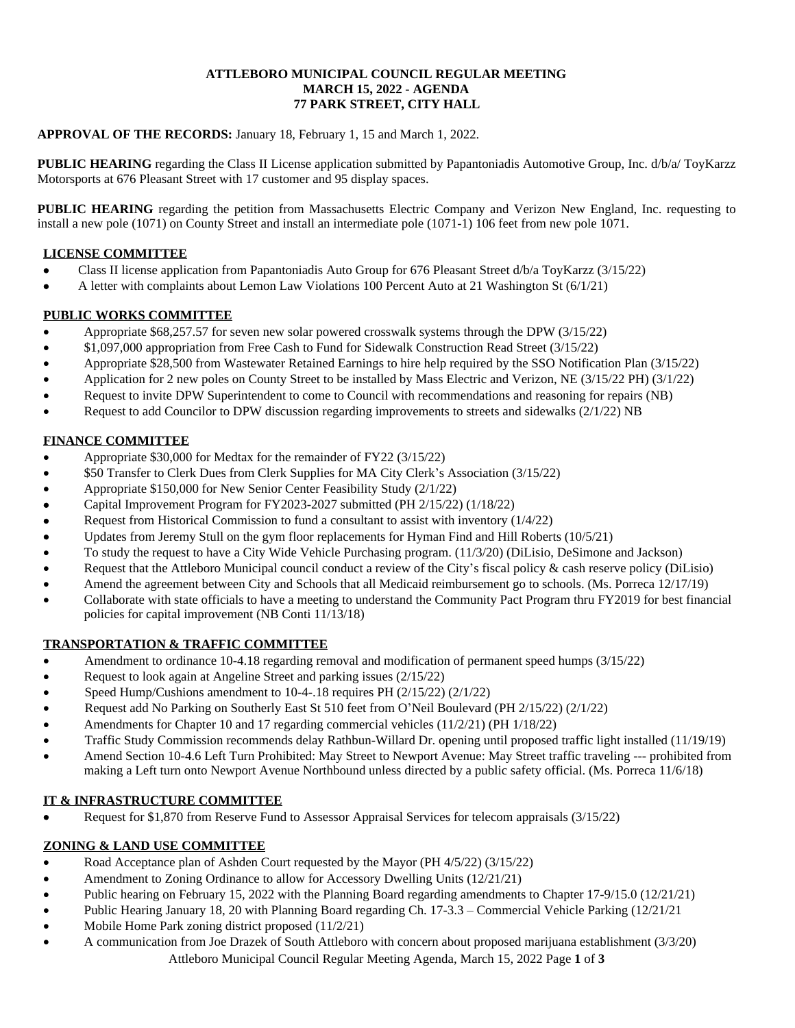### **ATTLEBORO MUNICIPAL COUNCIL REGULAR MEETING MARCH 15, 2022 - AGENDA 77 PARK STREET, CITY HALL**

## **APPROVAL OF THE RECORDS:** January 18, February 1, 15 and March 1, 2022.

**PUBLIC HEARING** regarding the Class II License application submitted by Papantoniadis Automotive Group, Inc. d/b/a/ ToyKarzz Motorsports at 676 Pleasant Street with 17 customer and 95 display spaces.

**PUBLIC HEARING** regarding the petition from Massachusetts Electric Company and Verizon New England, Inc. requesting to install a new pole (1071) on County Street and install an intermediate pole (1071-1) 106 feet from new pole 1071.

## **LICENSE COMMITTEE**

- Class II license application from Papantoniadis Auto Group for 676 Pleasant Street d/b/a ToyKarzz (3/15/22)
- A letter with complaints about Lemon Law Violations 100 Percent Auto at 21 Washington St (6/1/21)

## **PUBLIC WORKS COMMITTEE**

- Appropriate \$68,257.57 for seven new solar powered crosswalk systems through the DPW (3/15/22)
- \$1,097,000 appropriation from Free Cash to Fund for Sidewalk Construction Read Street (3/15/22)
- Appropriate \$28,500 from Wastewater Retained Earnings to hire help required by the SSO Notification Plan (3/15/22)
- Application for 2 new poles on County Street to be installed by Mass Electric and Verizon, NE (3/15/22 PH) (3/1/22)
- Request to invite DPW Superintendent to come to Council with recommendations and reasoning for repairs (NB)
- Request to add Councilor to DPW discussion regarding improvements to streets and sidewalks (2/1/22) NB

# **FINANCE COMMITTEE**

- Appropriate \$30,000 for Medtax for the remainder of FY22 (3/15/22)
- \$50 Transfer to Clerk Dues from Clerk Supplies for MA City Clerk's Association (3/15/22)
- Appropriate \$150,000 for New Senior Center Feasibility Study (2/1/22)
- Capital Improvement Program for FY2023-2027 submitted (PH 2/15/22) (1/18/22)
- Request from Historical Commission to fund a consultant to assist with inventory (1/4/22)
- Updates from Jeremy Stull on the gym floor replacements for Hyman Find and Hill Roberts (10/5/21)
- To study the request to have a City Wide Vehicle Purchasing program. (11/3/20) (DiLisio, DeSimone and Jackson)
- Request that the Attleboro Municipal council conduct a review of the City's fiscal policy & cash reserve policy (DiLisio)
- Amend the agreement between City and Schools that all Medicaid reimbursement go to schools. (Ms. Porreca 12/17/19)
- Collaborate with state officials to have a meeting to understand the Community Pact Program thru FY2019 for best financial policies for capital improvement (NB Conti 11/13/18)

# **TRANSPORTATION & TRAFFIC COMMITTEE**

- Amendment to ordinance 10-4.18 regarding removal and modification of permanent speed humps (3/15/22)
- Request to look again at Angeline Street and parking issues (2/15/22)
- Speed Hump/Cushions amendment to 10-4-.18 requires PH (2/15/22) (2/1/22)
- Request add No Parking on Southerly East St 510 feet from O'Neil Boulevard (PH 2/15/22) (2/1/22)
- Amendments for Chapter 10 and 17 regarding commercial vehicles (11/2/21) (PH 1/18/22)
- Traffic Study Commission recommends delay Rathbun-Willard Dr. opening until proposed traffic light installed (11/19/19)
- Amend Section 10-4.6 Left Turn Prohibited: May Street to Newport Avenue: May Street traffic traveling --- prohibited from making a Left turn onto Newport Avenue Northbound unless directed by a public safety official. (Ms. Porreca 11/6/18)

# **IT & INFRASTRUCTURE COMMITTEE**

Request for \$1,870 from Reserve Fund to Assessor Appraisal Services for telecom appraisals (3/15/22)

# **ZONING & LAND USE COMMITTEE**

- Road Acceptance plan of Ashden Court requested by the Mayor (PH 4/5/22) (3/15/22)
- Amendment to Zoning Ordinance to allow for Accessory Dwelling Units (12/21/21)
- Public hearing on February 15, 2022 with the Planning Board regarding amendments to Chapter 17-9/15.0 (12/21/21)
- Public Hearing January 18, 20 with Planning Board regarding Ch. 17-3.3 Commercial Vehicle Parking (12/21/21
- Mobile Home Park zoning district proposed (11/2/21)
- Attleboro Municipal Council Regular Meeting Agenda, March 15, 2022 Page **1** of **3** A communication from Joe Drazek of South Attleboro with concern about proposed marijuana establishment (3/3/20)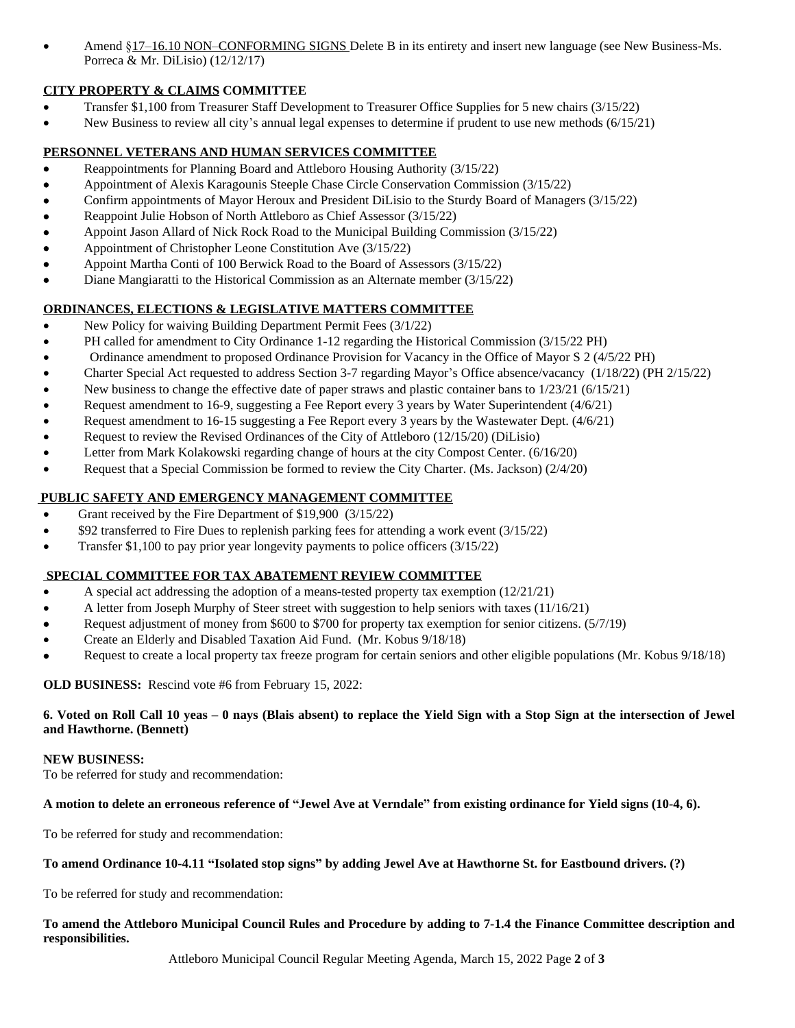Amend §17–16.10 NON–CONFORMING SIGNS Delete B in its entirety and insert new language (see New Business-Ms. Porreca & Mr. DiLisio) (12/12/17)

# **CITY PROPERTY & CLAIMS COMMITTEE**

- Transfer \$1,100 from Treasurer Staff Development to Treasurer Office Supplies for 5 new chairs (3/15/22)
- New Business to review all city's annual legal expenses to determine if prudent to use new methods (6/15/21)

# **PERSONNEL VETERANS AND HUMAN SERVICES COMMITTEE**

- Reappointments for Planning Board and Attleboro Housing Authority (3/15/22)
- Appointment of Alexis Karagounis Steeple Chase Circle Conservation Commission (3/15/22)
- Confirm appointments of Mayor Heroux and President DiLisio to the Sturdy Board of Managers (3/15/22)
- Reappoint Julie Hobson of North Attleboro as Chief Assessor (3/15/22)
- Appoint Jason Allard of Nick Rock Road to the Municipal Building Commission (3/15/22)
- Appointment of Christopher Leone Constitution Ave (3/15/22)
- Appoint Martha Conti of 100 Berwick Road to the Board of Assessors (3/15/22)
- Diane Mangiaratti to the Historical Commission as an Alternate member (3/15/22)

# **ORDINANCES, ELECTIONS & LEGISLATIVE MATTERS COMMITTEE**

- New Policy for waiving Building Department Permit Fees (3/1/22)
- PH called for amendment to City Ordinance 1-12 regarding the Historical Commission (3/15/22 PH)
- Ordinance amendment to proposed Ordinance Provision for Vacancy in the Office of Mayor S 2 (4/5/22 PH)
- Charter Special Act requested to address Section 3-7 regarding Mayor's Office absence/vacancy (1/18/22) (PH 2/15/22)
- New business to change the effective date of paper straws and plastic container bans to  $1/23/21$  (6/15/21)
- Request amendment to 16-9, suggesting a Fee Report every 3 years by Water Superintendent (4/6/21)
- Request amendment to 16-15 suggesting a Fee Report every 3 years by the Wastewater Dept. (4/6/21)
- Request to review the Revised Ordinances of the City of Attleboro (12/15/20) (DiLisio)
- Letter from Mark Kolakowski regarding change of hours at the city Compost Center. (6/16/20)
- Request that a Special Commission be formed to review the City Charter. (Ms. Jackson) (2/4/20)

# **PUBLIC SAFETY AND EMERGENCY MANAGEMENT COMMITTEE**

- Grant received by the Fire Department of \$19,900 (3/15/22)
- \$92 transferred to Fire Dues to replenish parking fees for attending a work event (3/15/22)
- Transfer \$1,100 to pay prior year longevity payments to police officers (3/15/22)

# **SPECIAL COMMITTEE FOR TAX ABATEMENT REVIEW COMMITTEE**

- A special act addressing the adoption of a means-tested property tax exemption (12/21/21)
- A letter from Joseph Murphy of Steer street with suggestion to help seniors with taxes (11/16/21)
- Request adjustment of money from \$600 to \$700 for property tax exemption for senior citizens. (5/7/19)
- Create an Elderly and Disabled Taxation Aid Fund. (Mr. Kobus 9/18/18)
- Request to create a local property tax freeze program for certain seniors and other eligible populations (Mr. Kobus 9/18/18)

# **OLD BUSINESS:** Rescind vote #6 from February 15, 2022:

### 6. Voted on Roll Call 10 yeas – 0 nays (Blais absent) to replace the Yield Sign with a Stop Sign at the intersection of Jewel **and Hawthorne. (Bennett)**

### **NEW BUSINESS:**

To be referred for study and recommendation:

### **A motion to delete an erroneous reference of "Jewel Ave at Verndale" from existing ordinance for Yield signs (10-4, 6).**

To be referred for study and recommendation:

### **To amend Ordinance 10-4.11 "Isolated stop signs" by adding Jewel Ave at Hawthorne St. for Eastbound drivers. (?)**

To be referred for study and recommendation:

# To amend the Attleboro Municipal Council Rules and Procedure by adding to 7-1.4 the Finance Committee description and **responsibilities.**

Attleboro Municipal Council Regular Meeting Agenda, March 15, 2022 Page **2** of **3**